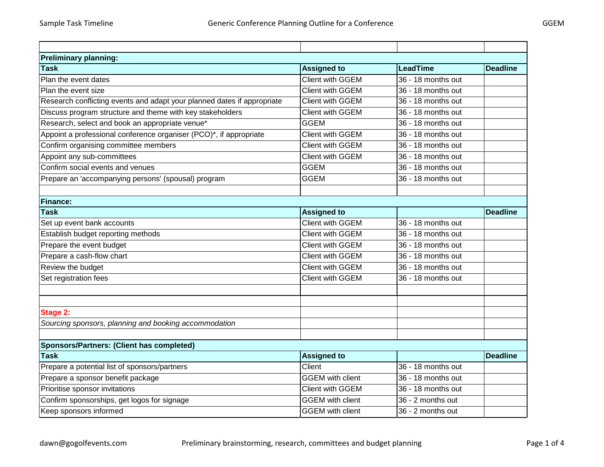| <b>Preliminary planning:</b>                                            |                         |                      |                 |  |  |
|-------------------------------------------------------------------------|-------------------------|----------------------|-----------------|--|--|
| <b>Task</b>                                                             | <b>Assigned to</b>      | <b>LeadTime</b>      | <b>Deadline</b> |  |  |
| Plan the event dates                                                    | <b>Client with GGEM</b> | 36 - 18 months out   |                 |  |  |
| Plan the event size                                                     | <b>Client with GGEM</b> | 36 - 18 months out   |                 |  |  |
| Research conflicting events and adapt your planned dates if appropriate | <b>Client with GGEM</b> | 36 - 18 months out   |                 |  |  |
| Discuss program structure and theme with key stakeholders               | <b>Client with GGEM</b> | 36 - 18 months out   |                 |  |  |
| Research, select and book an appropriate venue*                         | <b>GGEM</b>             | 36 - 18 months out   |                 |  |  |
| Appoint a professional conference organiser (PCO)*, if appropriate      | Client with GGEM        | 36 - 18 months out   |                 |  |  |
| Confirm organising committee members                                    | <b>Client with GGEM</b> | 36 - 18 months out   |                 |  |  |
| Appoint any sub-committees                                              | <b>Client with GGEM</b> | 36 - 18 months out   |                 |  |  |
| Confirm social events and venues                                        | <b>GGEM</b>             | 36 - 18 months out   |                 |  |  |
| Prepare an 'accompanying persons' (spousal) program                     | <b>GGEM</b>             | 36 - 18 months out   |                 |  |  |
|                                                                         |                         |                      |                 |  |  |
| <b>Finance:</b>                                                         |                         |                      |                 |  |  |
| <b>Task</b>                                                             | <b>Assigned to</b>      |                      | <b>Deadline</b> |  |  |
| Set up event bank accounts                                              | Client with GGEM        | 36 - 18 months out   |                 |  |  |
| Establish budget reporting methods                                      | <b>Client with GGEM</b> | 36 - 18 months out   |                 |  |  |
| Prepare the event budget                                                | <b>Client with GGEM</b> | $36 - 18$ months out |                 |  |  |
| Prepare a cash-flow chart                                               | <b>Client with GGEM</b> | 36 - 18 months out   |                 |  |  |
| Review the budget                                                       | <b>Client with GGEM</b> | 36 - 18 months out   |                 |  |  |
| Set registration fees                                                   | <b>Client with GGEM</b> | 36 - 18 months out   |                 |  |  |
|                                                                         |                         |                      |                 |  |  |
|                                                                         |                         |                      |                 |  |  |
| Stage 2:                                                                |                         |                      |                 |  |  |
| Sourcing sponsors, planning and booking accommodation                   |                         |                      |                 |  |  |
|                                                                         |                         |                      |                 |  |  |
| <b>Sponsors/Partners: (Client has completed)</b>                        |                         |                      |                 |  |  |
| <b>Task</b>                                                             | <b>Assigned to</b>      |                      | <b>Deadline</b> |  |  |
| Prepare a potential list of sponsors/partners                           | Client                  | 36 - 18 months out   |                 |  |  |
| Prepare a sponsor benefit package                                       | <b>GGEM</b> with client | 36 - 18 months out   |                 |  |  |
| Prioritise sponsor invitations                                          | <b>Client with GGEM</b> | 36 - 18 months out   |                 |  |  |
| Confirm sponsorships, get logos for signage                             | <b>GGEM</b> with client | 36 - 2 months out    |                 |  |  |
| Keep sponsors informed                                                  | <b>GGEM</b> with client | 36 - 2 months out    |                 |  |  |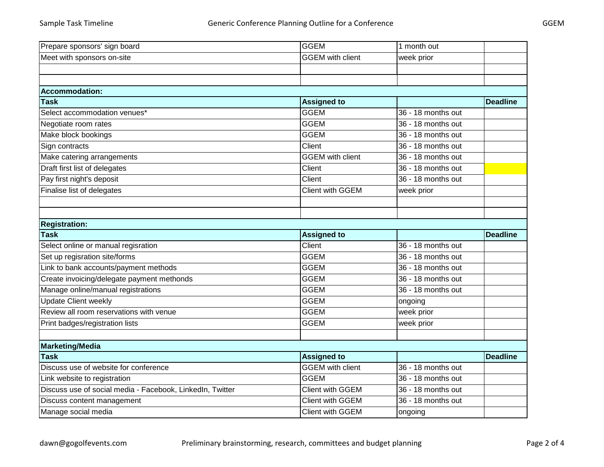| Prepare sponsors' sign board                              | <b>GGEM</b>             | 1 month out        |                 |
|-----------------------------------------------------------|-------------------------|--------------------|-----------------|
| Meet with sponsors on-site                                | <b>GGEM</b> with client | week prior         |                 |
|                                                           |                         |                    |                 |
|                                                           |                         |                    |                 |
| <b>Accommodation:</b>                                     |                         |                    |                 |
| <b>Task</b>                                               | <b>Assigned to</b>      |                    | <b>Deadline</b> |
| Select accommodation venues*                              | <b>GGEM</b>             | 36 - 18 months out |                 |
| Negotiate room rates                                      | <b>GGEM</b>             | 36 - 18 months out |                 |
| Make block bookings                                       | <b>GGEM</b>             | 36 - 18 months out |                 |
| Sign contracts                                            | Client                  | 36 - 18 months out |                 |
| Make catering arrangements                                | <b>GGEM</b> with client | 36 - 18 months out |                 |
| Draft first list of delegates                             | Client                  | 36 - 18 months out |                 |
| Pay first night's deposit                                 | Client                  | 36 - 18 months out |                 |
| Finalise list of delegates                                | Client with GGEM        | week prior         |                 |
|                                                           |                         |                    |                 |
|                                                           |                         |                    |                 |
| <b>Registration:</b>                                      |                         |                    |                 |
|                                                           |                         |                    |                 |
| <b>Task</b>                                               | <b>Assigned to</b>      |                    | <b>Deadline</b> |
| Select online or manual regisration                       | Client                  | 36 - 18 months out |                 |
| Set up regisration site/forms                             | <b>GGEM</b>             | 36 - 18 months out |                 |
| Link to bank accounts/payment methods                     | <b>GGEM</b>             | 36 - 18 months out |                 |
| Create invoicing/delegate payment methonds                | <b>GGEM</b>             | 36 - 18 months out |                 |
| Manage online/manual registrations                        | <b>GGEM</b>             | 36 - 18 months out |                 |
| <b>Update Client weekly</b>                               | <b>GGEM</b>             | ongoing            |                 |
| Review all room reservations with venue                   | <b>GGEM</b>             | week prior         |                 |
| Print badges/registration lists                           | <b>GGEM</b>             | week prior         |                 |
|                                                           |                         |                    |                 |
| <b>Marketing/Media</b>                                    |                         |                    |                 |
| <b>Task</b>                                               | <b>Assigned to</b>      |                    | <b>Deadline</b> |
| Discuss use of website for conference                     | <b>GGEM</b> with client | 36 - 18 months out |                 |
| Link website to registration                              | <b>GGEM</b>             | 36 - 18 months out |                 |
| Discuss use of social media - Facebook, LinkedIn, Twitter | Client with GGEM        | 36 - 18 months out |                 |
| Discuss content management                                | Client with GGEM        | 36 - 18 months out |                 |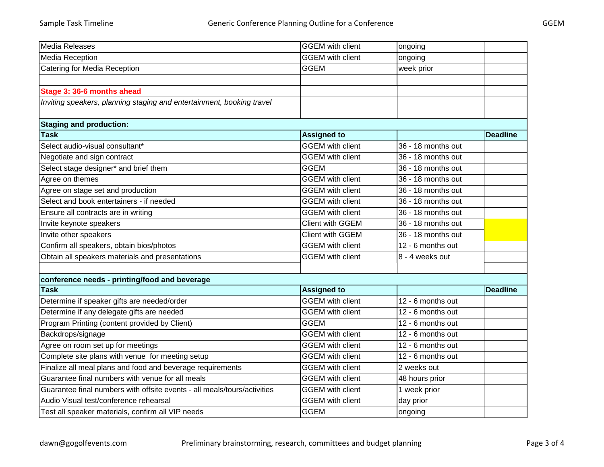| Media Releases                                                           | <b>GGEM</b> with client | ongoing            |                 |
|--------------------------------------------------------------------------|-------------------------|--------------------|-----------------|
| <b>Media Reception</b>                                                   | <b>GGEM</b> with client | ongoing            |                 |
| Catering for Media Reception                                             | <b>GGEM</b>             | week prior         |                 |
|                                                                          |                         |                    |                 |
| Stage 3: 36-6 months ahead                                               |                         |                    |                 |
| Inviting speakers, planning staging and entertainment, booking travel    |                         |                    |                 |
|                                                                          |                         |                    |                 |
| <b>Staging and production:</b>                                           |                         |                    |                 |
| <b>Task</b>                                                              | <b>Assigned to</b>      |                    | <b>Deadline</b> |
| Select audio-visual consultant*                                          | <b>GGEM</b> with client | 36 - 18 months out |                 |
| Negotiate and sign contract                                              | <b>GGEM</b> with client | 36 - 18 months out |                 |
| Select stage designer* and brief them                                    | <b>GGEM</b>             | 36 - 18 months out |                 |
| Agree on themes                                                          | <b>GGEM</b> with client | 36 - 18 months out |                 |
| Agree on stage set and production                                        | <b>GGEM</b> with client | 36 - 18 months out |                 |
| Select and book entertainers - if needed                                 | <b>GGEM</b> with client | 36 - 18 months out |                 |
| Ensure all contracts are in writing                                      | <b>GGEM</b> with client | 36 - 18 months out |                 |
| Invite keynote speakers                                                  | <b>Client with GGEM</b> | 36 - 18 months out |                 |
| Invite other speakers                                                    | <b>Client with GGEM</b> | 36 - 18 months out |                 |
| Confirm all speakers, obtain bios/photos                                 | <b>GGEM</b> with client | 12 - 6 months out  |                 |
| Obtain all speakers materials and presentations                          | <b>GGEM</b> with client | 8 - 4 weeks out    |                 |
|                                                                          |                         |                    |                 |
| conference needs - printing/food and beverage                            |                         |                    |                 |
| <b>Task</b>                                                              | <b>Assigned to</b>      |                    | <b>Deadline</b> |
| Determine if speaker gifts are needed/order                              | <b>GGEM</b> with client | 12 - 6 months out  |                 |
| Determine if any delegate gifts are needed                               | <b>GGEM</b> with client | 12 - 6 months out  |                 |
| Program Printing (content provided by Client)                            | <b>GGEM</b>             | 12 - 6 months out  |                 |
| Backdrops/signage                                                        | <b>GGEM</b> with client | 12 - 6 months out  |                 |
| Agree on room set up for meetings                                        | <b>GGEM</b> with client | 12 - 6 months out  |                 |
| Complete site plans with venue for meeting setup                         | <b>GGEM</b> with client | 12 - 6 months out  |                 |
| Finalize all meal plans and food and beverage requirements               | <b>GGEM</b> with client | 2 weeks out        |                 |
| Guarantee final numbers with venue for all meals                         | <b>GGEM</b> with client | 48 hours prior     |                 |
| Guarantee final numbers with offsite events - all meals/tours/activities | <b>GGEM</b> with client | 1 week prior       |                 |
| Audio Visual test/conference rehearsal                                   | <b>GGEM</b> with client | day prior          |                 |
| Test all speaker materials, confirm all VIP needs                        | <b>GGEM</b>             | ongoing            |                 |